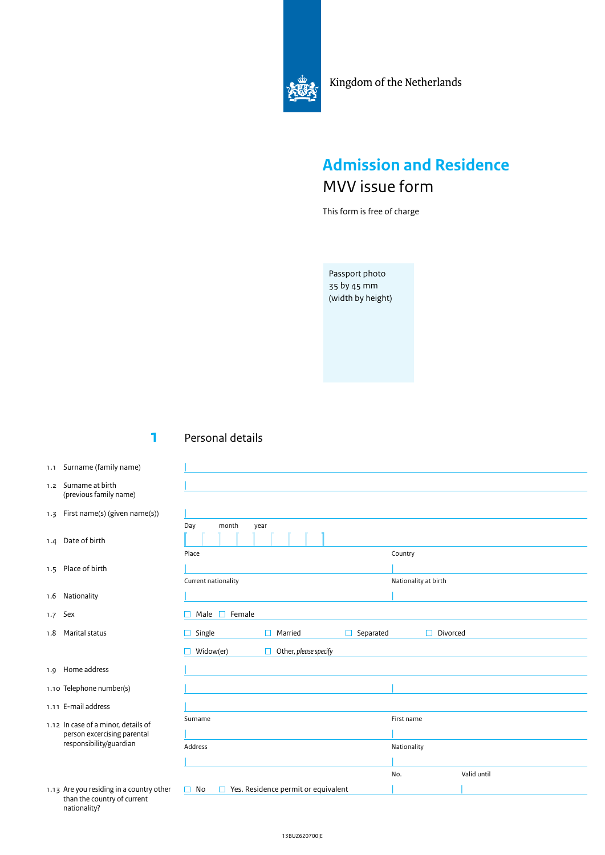

Kingdom of the Netherlands

## **Admission and Residence** MVV issue form

This form is free of charge

Passport photo 35 by 45 mm (width by height)

## **1** Personal details

|

- 1.1 Surname (family name)
- 1.2 Surname at birth (previous family name)
- 1.3 First name(s) (given name(s))
- 1.4 Date of birth
- 1.5 Place of birth
- 1.6 Nationality
- 1.7 Sex
- 1.8 Marital status
- 1.9 Home address
- 1.10 Telephone number(s)
- 1.11 E-mail address
- 1.12 In case of a minor, details of person excercising parental responsibility/guardian
- 1.13 Are you residing in a country other than the country of current nationality?

| month<br>Day        | year                  |                |                      |
|---------------------|-----------------------|----------------|----------------------|
|                     |                       |                |                      |
| Place               |                       |                | Country              |
|                     |                       |                |                      |
| Current nationality |                       |                | Nationality at birth |
|                     |                       |                |                      |
| Male $\Box$ Female  |                       |                |                      |
| Single              | Married<br>г          | Separated<br>П | Divorced             |
|                     |                       |                |                      |
|                     | $\Box$                |                |                      |
| Widow(er)           | Other, please specify |                |                      |
|                     |                       |                |                      |
|                     |                       |                |                      |
|                     |                       |                | First name           |
|                     |                       |                |                      |
|                     |                       |                | Nationality          |
|                     |                       |                |                      |
| Surname<br>Address  |                       |                | Valid until<br>No.   |